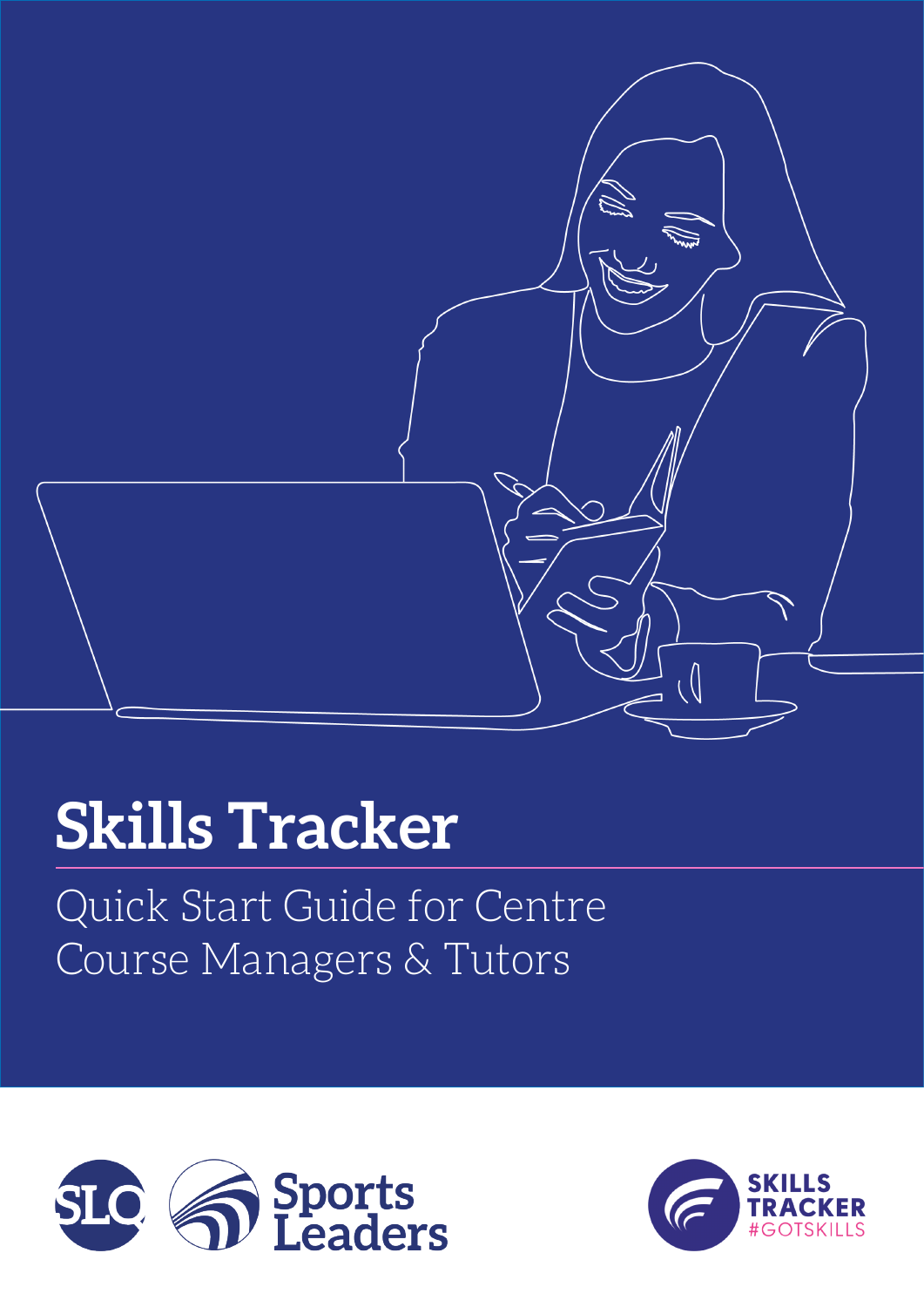

## **Skills Tracker**

## Quick Start Guide for Centre Course Managers & Tutors



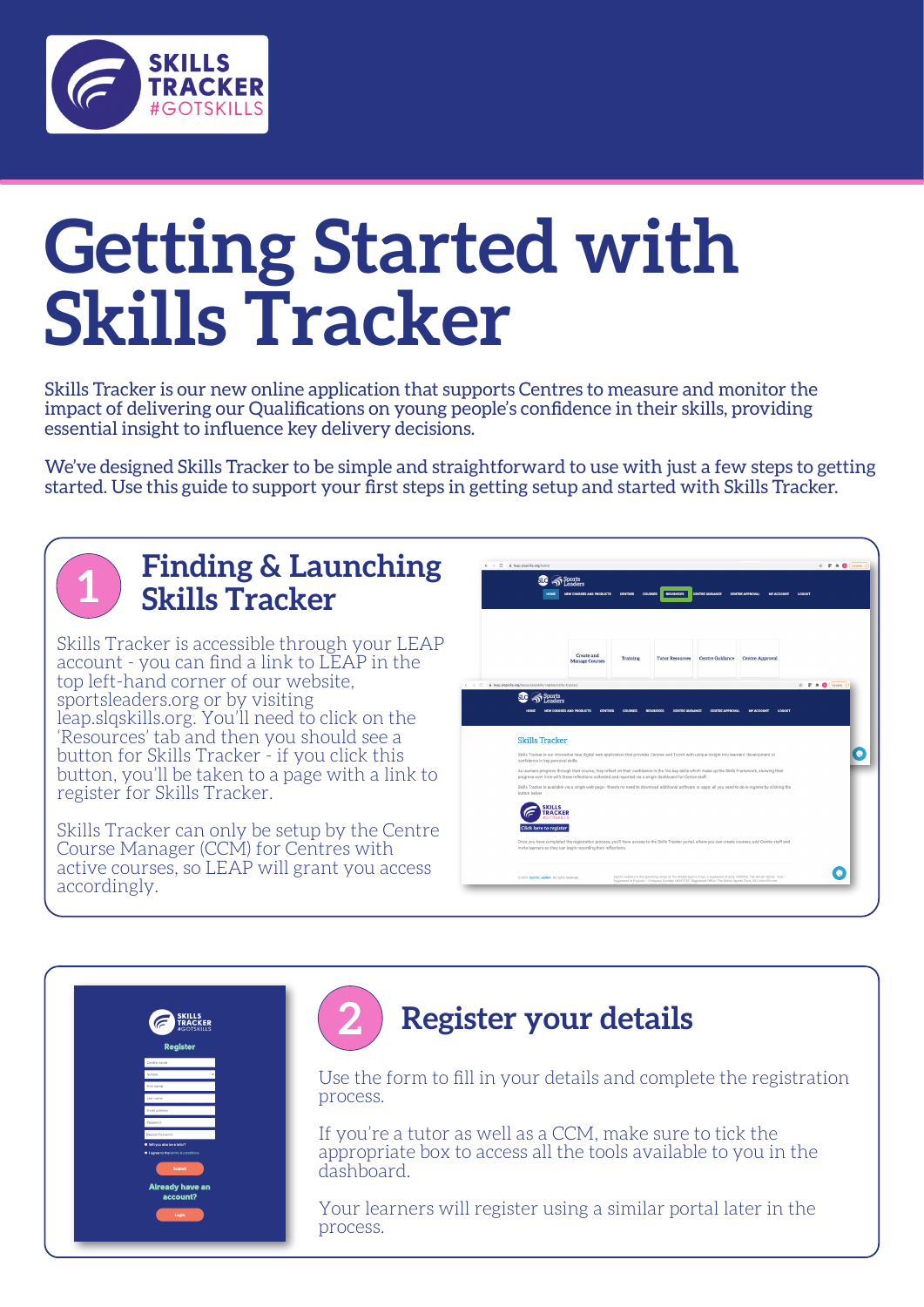

# **Getting Started with Skills Tracker**

Skills Tracker is our new online application that supports Centres to measure and monitor the impact of delivering our Qualifications on young people's confidence in their skills, providing essential insight to influence key delivery decisions.

We've designed Skills Tracker to be simple and straightforward to use with just a few steps to getting started. Use this guide to support your first steps in getting setup and started with Skills Tracker.



| <b>SKILLS<br/>TRACKER</b><br>#GOTSKILLS<br><b>Register</b> |
|------------------------------------------------------------|
| Centre name                                                |
| School                                                     |
| First name                                                 |
| Last name                                                  |
| Ernall address                                             |
| Password                                                   |
| Repeat Password                                            |
| Will you also be a tutor?                                  |
| Il l'agree to the terms & conditions<br>Submit             |
| <b>Already have an</b><br>account?                         |
| Login                                                      |
|                                                            |



## **2 Register your details**

Use the form to fill in your details and complete the registration process.

If you're a tutor as well as a CCM, make sure to tick the appropriate box to access all the tools available to you in the dashboard.

Your learners will register using a similar portal later in the process.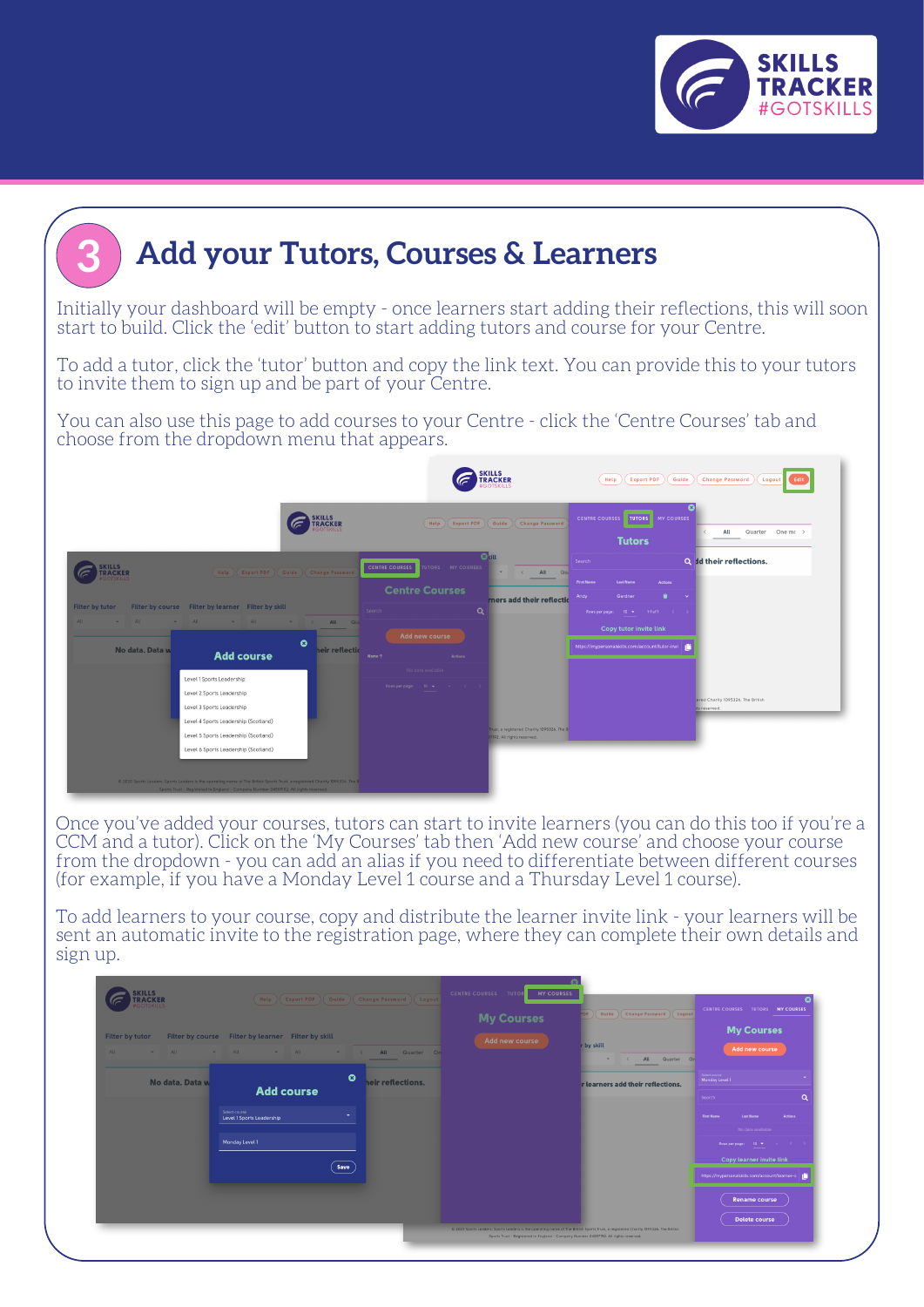

## **3 Add your Tutors, Courses & Learners**

Initially your dashboard will be empty - once learners start adding their reflections, this will soon start to build. Click the 'edit' button to start adding tutors and course for your Centre.

To add a tutor, click the 'tutor' button and copy the link text. You can provide this to your tutors to invite them to sign up and be part of your Centre.

You can also use this page to add courses to your Centre - click the 'Centre Courses' tab and choose from the dropdown menu that appears.



Once you've added your courses, tutors can start to invite learners (you can do this too if you're a CCM and a tutor). Click on the 'My Courses' tab then 'Add new course' and choose your course from the dropdown - you can add an alias if you need to differentiate between different courses (for example, if you have a Monday Level 1 course and a Thursday Level 1 course).

To add learners to your course, copy and distribute the learner invite link - your learners will be sent an automatic invite to the registration page, where they can complete their own details and sign up.

| <b>RACKER</b><br><b>GOTSKILLS</b><br>Filter by tutor<br>All - | Filter by course Filter by learner Filter by skill<br>all a set all the set all the set all quarter on |                                             | <b>My Courses</b><br>Add new course | Guide   Change Password   Logout<br>by skill<br>All Quarter On<br>$\overline{\phantom{a}}$ | CENTRE COURSES TUTORS MY COURSES<br><b>My Courses</b><br>Add new course                                                                                                                                                                                     |
|---------------------------------------------------------------|--------------------------------------------------------------------------------------------------------|---------------------------------------------|-------------------------------------|--------------------------------------------------------------------------------------------|-------------------------------------------------------------------------------------------------------------------------------------------------------------------------------------------------------------------------------------------------------------|
| No data, Data w                                               | <b>Add course</b><br>Select course<br>Level 1 Sports Leadership<br>Monday Level 1                      | $\bullet$<br>eir reflections.<br>۰.<br>Save |                                     | r learners add their reflections.                                                          | Select course<br>Monday Level 1<br>Q<br>Search<br><b>First Name</b><br>Actions<br><b>Last Name</b><br>No data available<br>Rows per page: 10 * - < ><br>Copy learner invite link<br>https://mypersonalskills.com/account/learner-ir<br><b>Rename course</b> |